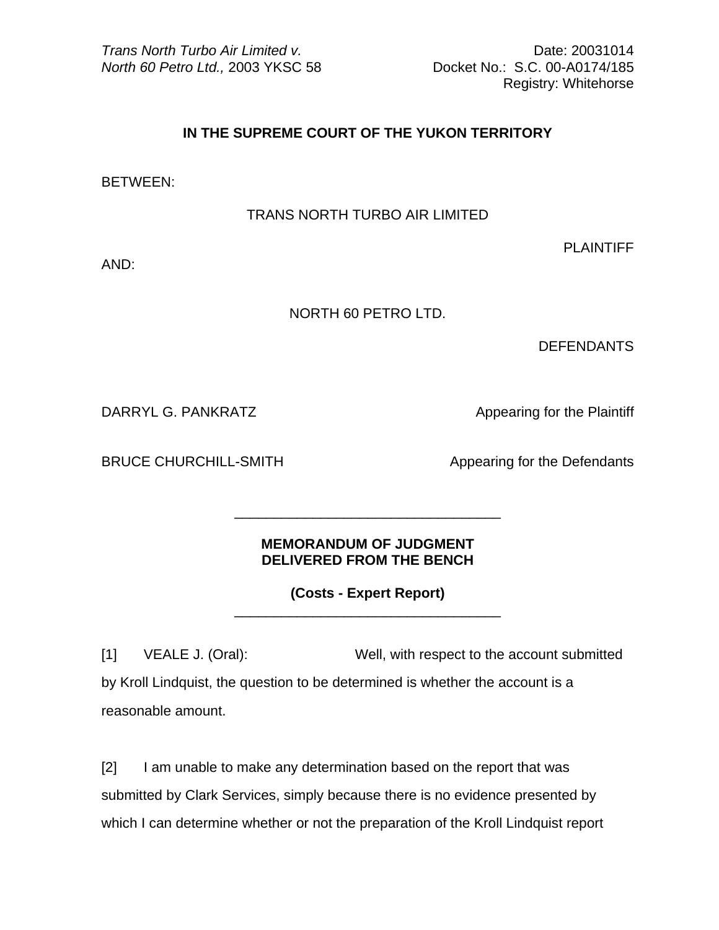*Trans North Turbo Air Limited v.* 20031014 *North 60 Petro Ltd.,* 2003 YKSC 58 Docket No.: S.C. 00-A0174/185

Registry: Whitehorse

## **IN THE SUPREME COURT OF THE YUKON TERRITORY**

BETWEEN:

TRANS NORTH TURBO AIR LIMITED

PLAINTIFF

AND:

NORTH 60 PETRO LTD.

**DEFENDANTS** 

DARRYL G. PANKRATZ **All and Appearing for the Plaintiff** 

BRUCE CHURCHILL-SMITH Appearing for the Defendants

## **MEMORANDUM OF JUDGMENT DELIVERED FROM THE BENCH**

 $\frac{1}{\sqrt{2}}$  ,  $\frac{1}{\sqrt{2}}$  ,  $\frac{1}{\sqrt{2}}$  ,  $\frac{1}{\sqrt{2}}$  ,  $\frac{1}{\sqrt{2}}$  ,  $\frac{1}{\sqrt{2}}$  ,  $\frac{1}{\sqrt{2}}$  ,  $\frac{1}{\sqrt{2}}$  ,  $\frac{1}{\sqrt{2}}$  ,  $\frac{1}{\sqrt{2}}$  ,  $\frac{1}{\sqrt{2}}$  ,  $\frac{1}{\sqrt{2}}$  ,  $\frac{1}{\sqrt{2}}$  ,  $\frac{1}{\sqrt{2}}$  ,  $\frac{1}{\sqrt{2}}$ 

 $\frac{1}{\sqrt{2}}$  ,  $\frac{1}{\sqrt{2}}$  ,  $\frac{1}{\sqrt{2}}$  ,  $\frac{1}{\sqrt{2}}$  ,  $\frac{1}{\sqrt{2}}$  ,  $\frac{1}{\sqrt{2}}$  ,  $\frac{1}{\sqrt{2}}$  ,  $\frac{1}{\sqrt{2}}$  ,  $\frac{1}{\sqrt{2}}$  ,  $\frac{1}{\sqrt{2}}$  ,  $\frac{1}{\sqrt{2}}$  ,  $\frac{1}{\sqrt{2}}$  ,  $\frac{1}{\sqrt{2}}$  ,  $\frac{1}{\sqrt{2}}$  ,  $\frac{1}{\sqrt{2}}$ 

**(Costs - Expert Report)**

[1] VEALE J. (Oral): Well, with respect to the account submitted by Kroll Lindquist, the question to be determined is whether the account is a reasonable amount.

[2] I am unable to make any determination based on the report that was submitted by Clark Services, simply because there is no evidence presented by which I can determine whether or not the preparation of the Kroll Lindquist report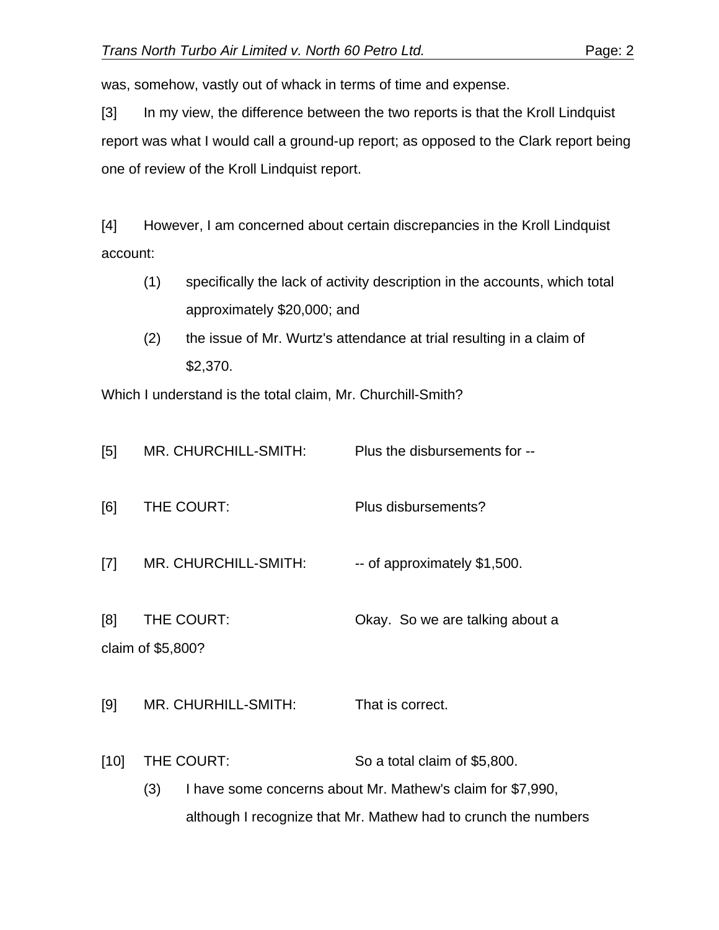was, somehow, vastly out of whack in terms of time and expense.

[3] In my view, the difference between the two reports is that the Kroll Lindquist report was what I would call a ground-up report; as opposed to the Clark report being one of review of the Kroll Lindquist report.

[4] However, I am concerned about certain discrepancies in the Kroll Lindquist account:

- (1) specifically the lack of activity description in the accounts, which total approximately \$20,000; and
- (2) the issue of Mr. Wurtz's attendance at trial resulting in a claim of \$2,370.

Which I understand is the total claim, Mr. Churchill-Smith?

| [5]    | MR. CHURCHILL-SMITH:            | Plus the disbursements for --                                                                                                                                |
|--------|---------------------------------|--------------------------------------------------------------------------------------------------------------------------------------------------------------|
| [6]    | THE COURT:                      | Plus disbursements?                                                                                                                                          |
| $[7]$  | MR. CHURCHILL-SMITH:            | -- of approximately \$1,500.                                                                                                                                 |
| [8]    | THE COURT:<br>claim of \$5,800? | Okay. So we are talking about a                                                                                                                              |
| [9]    | MR. CHURHILL-SMITH:             | That is correct.                                                                                                                                             |
| $[10]$ | THE COURT:<br>(3)               | So a total claim of \$5,800.<br>I have some concerns about Mr. Mathew's claim for \$7,990,<br>although I recognize that Mr. Mathew had to crunch the numbers |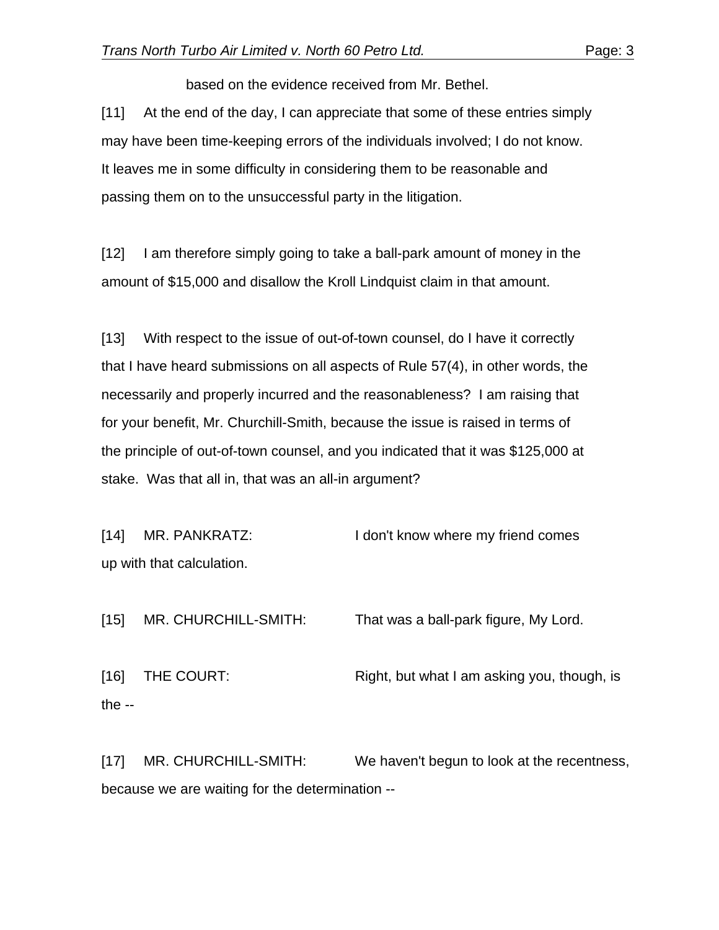based on the evidence received from Mr. Bethel.

[11] At the end of the day, I can appreciate that some of these entries simply may have been time-keeping errors of the individuals involved; I do not know. It leaves me in some difficulty in considering them to be reasonable and passing them on to the unsuccessful party in the litigation.

[12] I am therefore simply going to take a ball-park amount of money in the amount of \$15,000 and disallow the Kroll Lindquist claim in that amount.

[13] With respect to the issue of out-of-town counsel, do I have it correctly that I have heard submissions on all aspects of Rule 57(4), in other words, the necessarily and properly incurred and the reasonableness? I am raising that for your benefit, Mr. Churchill-Smith, because the issue is raised in terms of the principle of out-of-town counsel, and you indicated that it was \$125,000 at stake. Was that all in, that was an all-in argument?

[14] MR. PANKRATZ: I don't know where my friend comes up with that calculation.

[15] MR. CHURCHILL-SMITH: That was a ball-park figure, My Lord.

[16] THE COURT: Right, but what I am asking you, though, is the --

[17] MR. CHURCHILL-SMITH: We haven't begun to look at the recentness, because we are waiting for the determination --